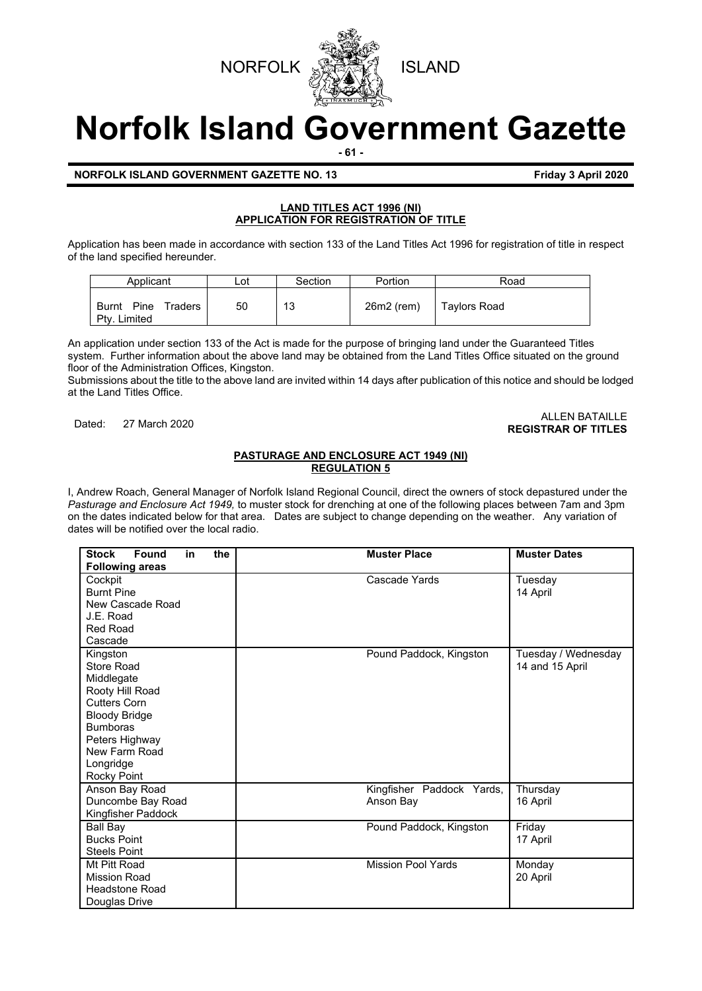



# **Norfolk Island Government Gazette**

**- 61 -**

## **NORFOLK ISLAND GOVERNMENT GAZETTE NO. 13 Friday 3 April 2020**

# **LAND TITLES ACT 1996 (NI) APPLICATION FOR REGISTRATION OF TITLE**

Application has been made in accordance with section 133 of the Land Titles Act 1996 for registration of title in respect of the land specified hereunder.

| Applicant                                       | Lot | Section | Portion    | Road         |
|-------------------------------------------------|-----|---------|------------|--------------|
| Pine<br>Traders<br><b>Burnt</b><br>Ptv. Limited | 50  | 13      | 26m2 (rem) | Taylors Road |

An application under section 133 of the Act is made for the purpose of bringing land under the Guaranteed Titles system. Further information about the above land may be obtained from the Land Titles Office situated on the ground floor of the Administration Offices, Kingston.

Submissions about the title to the above land are invited within 14 days after publication of this notice and should be lodged at the Land Titles Office.

#### Dated: 27 March 2020 ALLEN BATAILLE **REGISTRAR OF TITLES**

# **PASTURAGE AND ENCLOSURE ACT 1949 (NI) REGULATION 5**

I, Andrew Roach, General Manager of Norfolk Island Regional Council, direct the owners of stock depastured under the *Pasturage and Enclosure Act 1949,* to muster stock for drenching at one of the following places between 7am and 3pm on the dates indicated below for that area. Dates are subject to change depending on the weather. Any variation of dates will be notified over the local radio.

| <b>Found</b><br>the<br><b>Stock</b><br>in<br><b>Following areas</b>                                                                                                                      | <b>Muster Place</b>                    | <b>Muster Dates</b>                    |
|------------------------------------------------------------------------------------------------------------------------------------------------------------------------------------------|----------------------------------------|----------------------------------------|
| Cockpit<br><b>Burnt Pine</b><br>New Cascade Road<br>J.E. Road<br><b>Red Road</b><br>Cascade                                                                                              | Cascade Yards                          | Tuesday<br>14 April                    |
| Kingston<br>Store Road<br>Middlegate<br>Rooty Hill Road<br><b>Cutters Corn</b><br><b>Bloody Bridge</b><br><b>Bumboras</b><br>Peters Highway<br>New Farm Road<br>Longridge<br>Rocky Point | Pound Paddock, Kingston                | Tuesday / Wednesday<br>14 and 15 April |
| Anson Bay Road<br>Duncombe Bay Road<br>Kingfisher Paddock                                                                                                                                | Kingfisher Paddock Yards,<br>Anson Bay | Thursday<br>16 April                   |
| <b>Ball Bay</b><br><b>Bucks Point</b><br><b>Steels Point</b>                                                                                                                             | Pound Paddock, Kingston                | Friday<br>17 April                     |
| Mt Pitt Road<br><b>Mission Road</b><br><b>Headstone Road</b><br>Douglas Drive                                                                                                            | <b>Mission Pool Yards</b>              | Monday<br>20 April                     |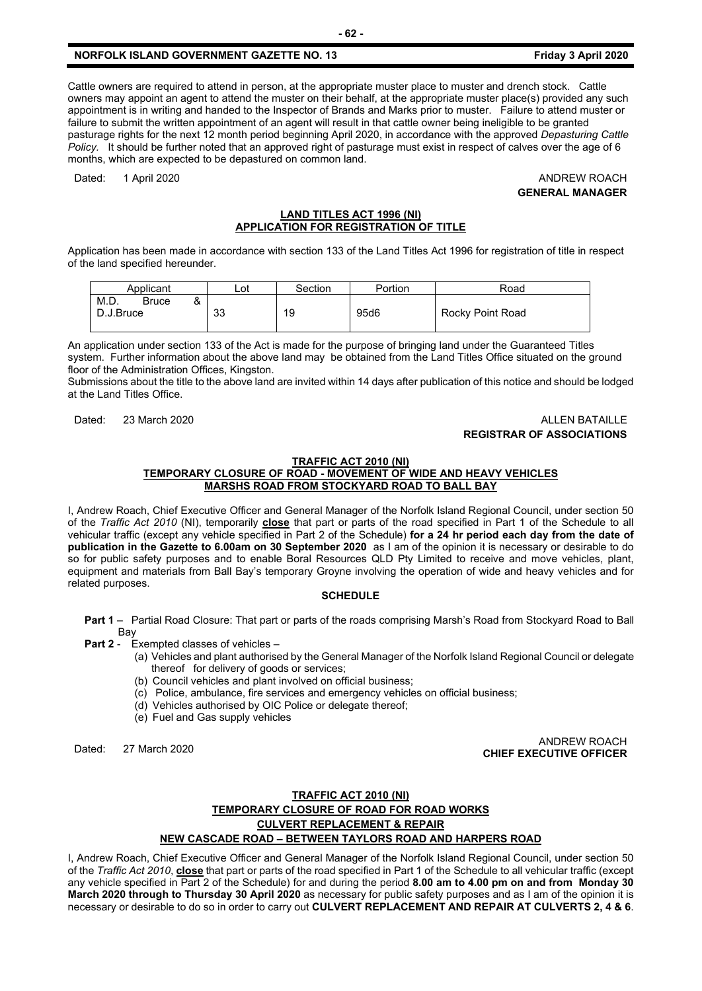# **NORFOLK ISLAND GOVERNMENT GAZETTE NO. 13 Friday 3 April 2020**

Cattle owners are required to attend in person, at the appropriate muster place to muster and drench stock. Cattle owners may appoint an agent to attend the muster on their behalf, at the appropriate muster place(s) provided any such appointment is in writing and handed to the Inspector of Brands and Marks prior to muster. Failure to attend muster or failure to submit the written appointment of an agent will result in that cattle owner being ineligible to be granted pasturage rights for the next 12 month period beginning April 2020, in accordance with the approved *Depasturing Cattle Policy.* It should be further noted that an approved right of pasturage must exist in respect of calves over the age of 6 months, which are expected to be depastured on common land.

Dated: 1 April 2020 **ANDREW ROACH** 

**GENERAL MANAGER**

#### **LAND TITLES ACT 1996 (NI) APPLICATION FOR REGISTRATION OF TITLE**

Application has been made in accordance with section 133 of the Land Titles Act 1996 for registration of title in respect of the land specified hereunder.

| Applicant                                     | Lot | Section | Portion | Road             |
|-----------------------------------------------|-----|---------|---------|------------------|
| M.D.<br><b>Bruce</b><br>$\alpha$<br>D.J.Bruce | 33  | 19      | 95d6    | Rocky Point Road |

An application under section 133 of the Act is made for the purpose of bringing land under the Guaranteed Titles system. Further information about the above land may be obtained from the Land Titles Office situated on the ground floor of the Administration Offices, Kingston.

Submissions about the title to the above land are invited within 14 days after publication of this notice and should be lodged at the Land Titles Office.

# Dated: 23 March 2020 **ALLEN BATAILLE REGISTRAR OF ASSOCIATIONS**

#### **TRAFFIC ACT 2010 (NI)**

## **TEMPORARY CLOSURE OF ROAD - MOVEMENT OF WIDE AND HEAVY VEHICLES MARSHS ROAD FROM STOCKYARD ROAD TO BALL BAY**

I, Andrew Roach, Chief Executive Officer and General Manager of the Norfolk Island Regional Council, under section 50 of the *Traffic Act 2010* (NI), temporarily **close** that part or parts of the road specified in Part 1 of the Schedule to all vehicular traffic (except any vehicle specified in Part 2 of the Schedule) **for a 24 hr period each day from the date of publication in the Gazette to 6.00am on 30 September 2020** as I am of the opinion it is necessary or desirable to do so for public safety purposes and to enable Boral Resources QLD Pty Limited to receive and move vehicles, plant, equipment and materials from Ball Bay's temporary Groyne involving the operation of wide and heavy vehicles and for related purposes.

#### **SCHEDULE**

**Part 1** – Partial Road Closure: That part or parts of the roads comprising Marsh's Road from Stockyard Road to Ball Bay

**Part 2** - Exempted classes of vehicles –

- (a) Vehicles and plant authorised by the General Manager of the Norfolk Island Regional Council or delegate thereof for delivery of goods or services;
	- (b) Council vehicles and plant involved on official business;
	- (c) Police, ambulance, fire services and emergency vehicles on official business;
	- (d) Vehicles authorised by OIC Police or delegate thereof;
	- (e) Fuel and Gas supply vehicles

Dated: 27 March 2020 ANDREW ROACH **CHIEF EXECUTIVE OFFICER**

# **TRAFFIC ACT 2010 (NI) TEMPORARY CLOSURE OF ROAD FOR ROAD WORKS CULVERT REPLACEMENT & REPAIR NEW CASCADE ROAD – BETWEEN TAYLORS ROAD AND HARPERS ROAD**

I, Andrew Roach, Chief Executive Officer and General Manager of the Norfolk Island Regional Council, under section 50 of the *Traffic Act 2010*, **close** that part or parts of the road specified in Part 1 of the Schedule to all vehicular traffic (except any vehicle specified in Part 2 of the Schedule) for and during the period **8.00 am to 4.00 pm on and from Monday 30 March 2020 through to Thursday 30 April 2020** as necessary for public safety purposes and as I am of the opinion it is necessary or desirable to do so in order to carry out **CULVERT REPLACEMENT AND REPAIR AT CULVERTS 2, 4 & 6**.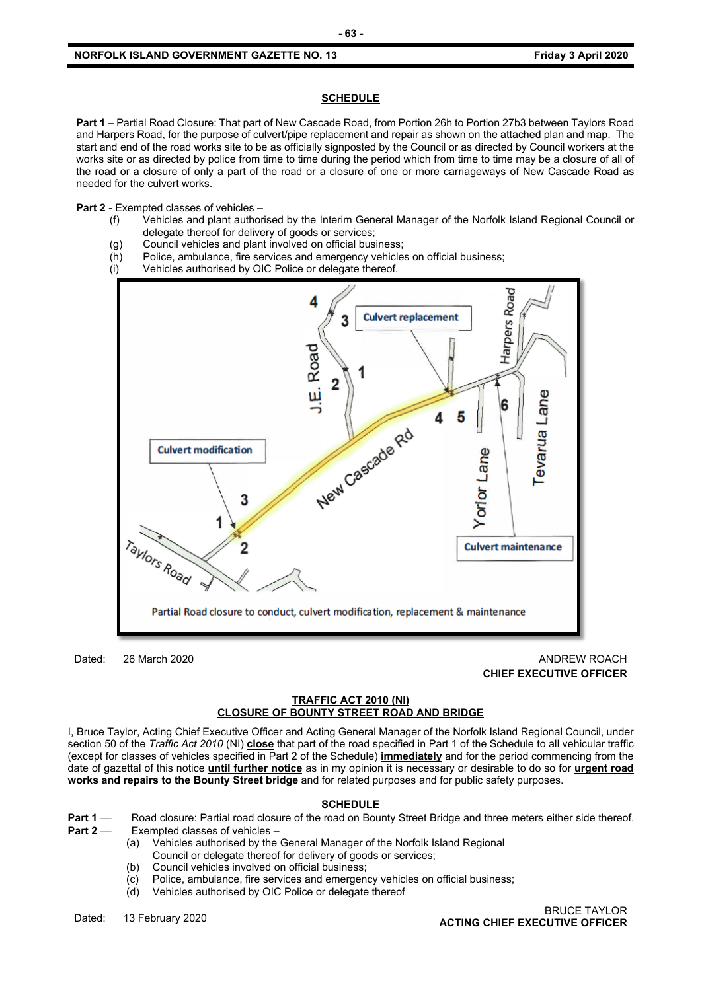#### **SCHEDULE**

**Part 1** – Partial Road Closure: That part of New Cascade Road, from Portion 26h to Portion 27b3 between Taylors Road and Harpers Road, for the purpose of culvert/pipe replacement and repair as shown on the attached plan and map. The start and end of the road works site to be as officially signposted by the Council or as directed by Council workers at the works site or as directed by police from time to time during the period which from time to time may be a closure of all of the road or a closure of only a part of the road or a closure of one or more carriageways of New Cascade Road as needed for the culvert works.

**Part 2** - Exempted classes of vehicles –

- (f) Vehicles and plant authorised by the Interim General Manager of the Norfolk Island Regional Council or delegate thereof for delivery of goods or services;
- (g) Council vehicles and plant involved on official business;
- (h) Police, ambulance, fire services and emergency vehicles on official business;
- (i) Vehicles authorised by OIC Police or delegate thereof.



Dated: 26 March 2020 **ANDREW ROACH** 2020 **CHIEF EXECUTIVE OFFICER**

#### **TRAFFIC ACT 2010 (NI) CLOSURE OF BOUNTY STREET ROAD AND BRIDGE**

I, Bruce Taylor, Acting Chief Executive Officer and Acting General Manager of the Norfolk Island Regional Council, under section 50 of the *Traffic Act 2010* (NI) **close** that part of the road specified in Part 1 of the Schedule to all vehicular traffic (except for classes of vehicles specified in Part 2 of the Schedule) **immediately** and for the period commencing from the date of gazettal of this notice **until further notice** as in my opinion it is necessary or desirable to do so for **urgent road works and repairs to the Bounty Street bridge** and for related purposes and for public safety purposes.

#### **SCHEDULE**

- **Part 1** Road closure: Partial road closure of the road on Bounty Street Bridge and three meters either side thereof.<br>**Part 2** Exempted classes of vehicles **Exempted classes of vehicles -**
	- (a) Vehicles authorised by the General Manager of the Norfolk Island Regional
	- Council or delegate thereof for delivery of goods or services;
	- (b) Council vehicles involved on official business;
	- (c) Police, ambulance, fire services and emergency vehicles on official business;
	- (d) Vehicles authorised by OIC Police or delegate thereof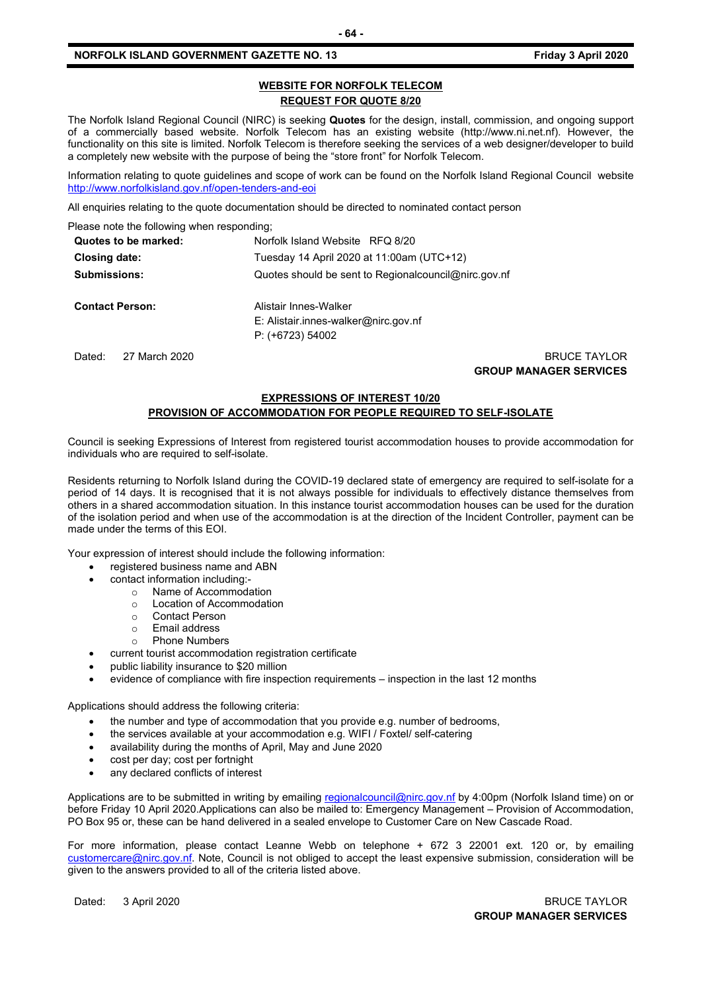#### **NORFOLK ISLAND GOVERNMENT GAZETTE NO. 13 Friday 3 April 2020**

#### **WEBSITE FOR NORFOLK TELECOM REQUEST FOR QUOTE 8/20**

The Norfolk Island Regional Council (NIRC) is seeking **Quotes** for the design, install, commission, and ongoing support of a commercially based website. Norfolk Telecom has an existing website (http://www.ni.net.nf). However, the functionality on this site is limited. Norfolk Telecom is therefore seeking the services of a web designer/developer to build a completely new website with the purpose of being the "store front" for Norfolk Telecom.

Information relating to quote guidelines and scope of work can be found on the Norfolk Island Regional Council website <http://www.norfolkisland.gov.nf/open-tenders-and-eoi>

All enquiries relating to the quote documentation should be directed to nominated contact person

Please note the following when responding;

| Quotes to be marked:    | Norfolk Island Website RFQ 8/20<br>Tuesday 14 April 2020 at 11:00am (UTC+12)<br>Quotes should be sent to Regional council @nirc.gov.nf |                     |  |  |  |
|-------------------------|----------------------------------------------------------------------------------------------------------------------------------------|---------------------|--|--|--|
| <b>Closing date:</b>    |                                                                                                                                        |                     |  |  |  |
| <b>Submissions:</b>     |                                                                                                                                        |                     |  |  |  |
| <b>Contact Person:</b>  | Alistair Innes-Walker                                                                                                                  |                     |  |  |  |
|                         | $E:$ Alistair.innes-walker@nirc.gov.nf                                                                                                 |                     |  |  |  |
|                         | $P: (+6723) 54002$                                                                                                                     |                     |  |  |  |
| Dated:<br>27 March 2020 |                                                                                                                                        | <b>BRUCE TAYLOR</b> |  |  |  |

**GROUP MANAGER SERVICES**

# **EXPRESSIONS OF INTEREST 10/20**

# **PROVISION OF ACCOMMODATION FOR PEOPLE REQUIRED TO SELF-ISOLATE**

Council is seeking Expressions of Interest from registered tourist accommodation houses to provide accommodation for individuals who are required to self-isolate.

Residents returning to Norfolk Island during the COVID-19 declared state of emergency are required to self-isolate for a period of 14 days. It is recognised that it is not always possible for individuals to effectively distance themselves from others in a shared accommodation situation. In this instance tourist accommodation houses can be used for the duration of the isolation period and when use of the accommodation is at the direction of the Incident Controller, payment can be made under the terms of this EOI.

Your expression of interest should include the following information:

- registered business name and ABN
- contact information including:
	- o Name of Accommodation
	- o Location of Accommodation
	- ⊙ Contact Person<br>⊙ Fmail address
	- Email address<br>○ Phone Numbe
	- **Phone Numbers**
	- current tourist accommodation registration certificate
- public liability insurance to \$20 million
- evidence of compliance with fire inspection requirements inspection in the last 12 months

Applications should address the following criteria:

- the number and type of accommodation that you provide e.g. number of bedrooms,
- the services available at your accommodation e.g. WIFI / Foxtel/ self-catering
- availability during the months of April, May and June 2020
- cost per day; cost per fortnight
- any declared conflicts of interest

Applications are to be submitted in writing by emailing [regionalcouncil@nirc.gov.nf](mailto:regionalcouncil@nirc.gov.nf) by 4:00pm (Norfolk Island time) on or before Friday 10 April 2020.Applications can also be mailed to: Emergency Management – Provision of Accommodation, PO Box 95 or, these can be hand delivered in a sealed envelope to Customer Care on New Cascade Road.

For more information, please contact Leanne Webb on telephone + 672 3 22001 ext. 120 or, by emailing [customercare@nirc.gov.nf.](mailto:customercare@nirc.gov.nf) Note, Council is not obliged to accept the least expensive submission, consideration will be given to the answers provided to all of the criteria listed above.

Dated: 3 April 2020 BRUCE TAYLOR